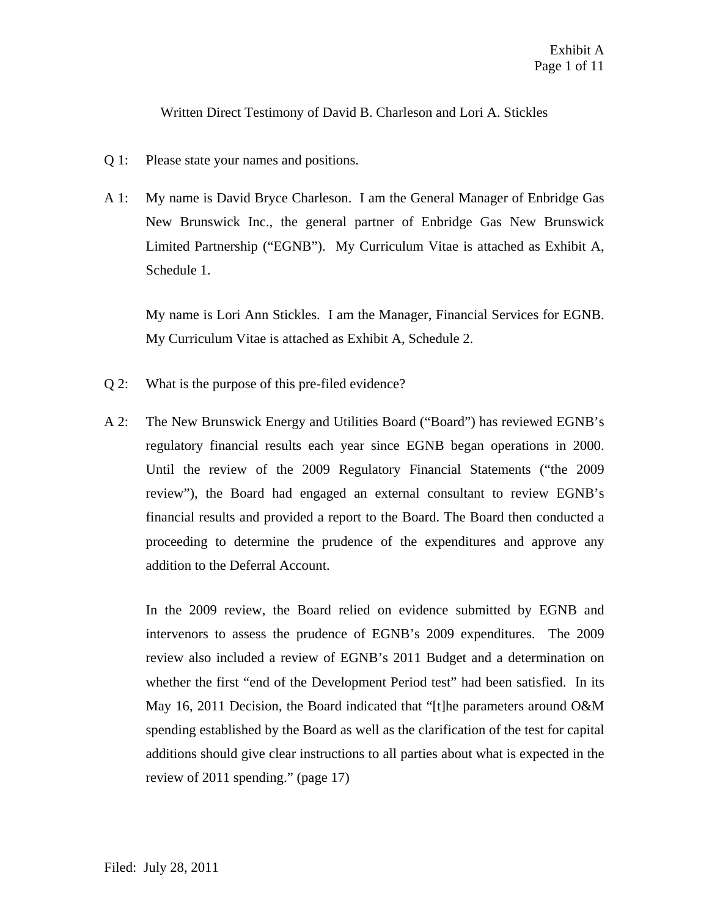Written Direct Testimony of David B. Charleson and Lori A. Stickles

- Q 1: Please state your names and positions.
- A 1: My name is David Bryce Charleson. I am the General Manager of Enbridge Gas New Brunswick Inc., the general partner of Enbridge Gas New Brunswick Limited Partnership ("EGNB"). My Curriculum Vitae is attached as Exhibit A, Schedule 1.

My name is Lori Ann Stickles. I am the Manager, Financial Services for EGNB. My Curriculum Vitae is attached as Exhibit A, Schedule 2.

- Q 2: What is the purpose of this pre-filed evidence?
- A 2: The New Brunswick Energy and Utilities Board ("Board") has reviewed EGNB's regulatory financial results each year since EGNB began operations in 2000. Until the review of the 2009 Regulatory Financial Statements ("the 2009 review"), the Board had engaged an external consultant to review EGNB's financial results and provided a report to the Board. The Board then conducted a proceeding to determine the prudence of the expenditures and approve any addition to the Deferral Account.

In the 2009 review, the Board relied on evidence submitted by EGNB and intervenors to assess the prudence of EGNB's 2009 expenditures. The 2009 review also included a review of EGNB's 2011 Budget and a determination on whether the first "end of the Development Period test" had been satisfied. In its May 16, 2011 Decision, the Board indicated that "[t]he parameters around O&M spending established by the Board as well as the clarification of the test for capital additions should give clear instructions to all parties about what is expected in the review of 2011 spending." (page 17)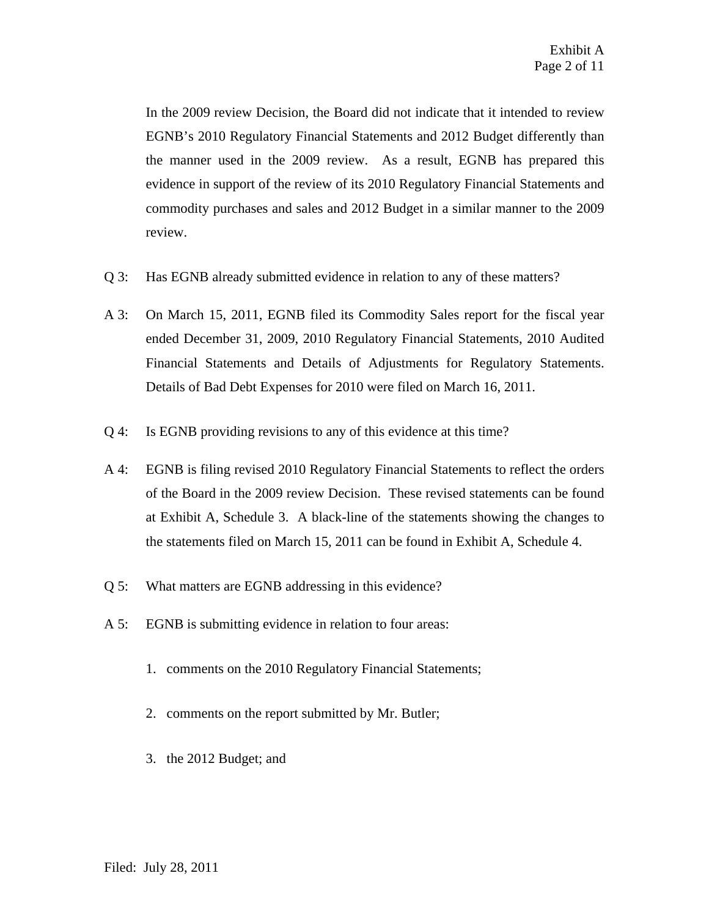In the 2009 review Decision, the Board did not indicate that it intended to review EGNB's 2010 Regulatory Financial Statements and 2012 Budget differently than the manner used in the 2009 review. As a result, EGNB has prepared this evidence in support of the review of its 2010 Regulatory Financial Statements and commodity purchases and sales and 2012 Budget in a similar manner to the 2009 review.

- Q 3: Has EGNB already submitted evidence in relation to any of these matters?
- A 3: On March 15, 2011, EGNB filed its Commodity Sales report for the fiscal year ended December 31, 2009, 2010 Regulatory Financial Statements, 2010 Audited Financial Statements and Details of Adjustments for Regulatory Statements. Details of Bad Debt Expenses for 2010 were filed on March 16, 2011.
- Q 4: Is EGNB providing revisions to any of this evidence at this time?
- A 4: EGNB is filing revised 2010 Regulatory Financial Statements to reflect the orders of the Board in the 2009 review Decision. These revised statements can be found at Exhibit A, Schedule 3. A black-line of the statements showing the changes to the statements filed on March 15, 2011 can be found in Exhibit A, Schedule 4.
- Q 5: What matters are EGNB addressing in this evidence?
- A 5: EGNB is submitting evidence in relation to four areas:
	- 1. comments on the 2010 Regulatory Financial Statements;
	- 2. comments on the report submitted by Mr. Butler;
	- 3. the 2012 Budget; and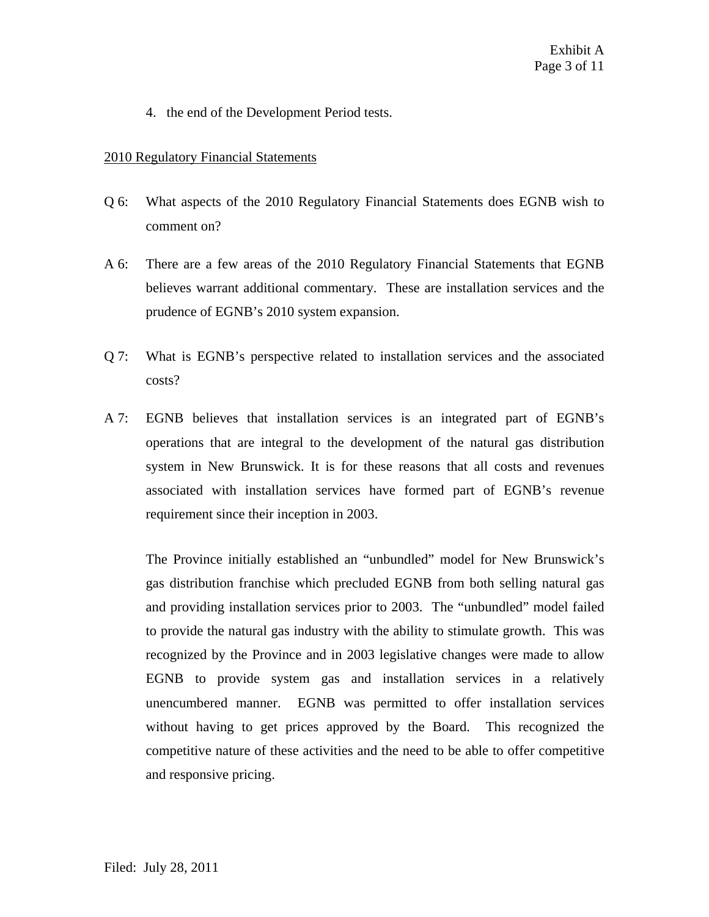4. the end of the Development Period tests.

## 2010 Regulatory Financial Statements

- Q 6: What aspects of the 2010 Regulatory Financial Statements does EGNB wish to comment on?
- A 6: There are a few areas of the 2010 Regulatory Financial Statements that EGNB believes warrant additional commentary. These are installation services and the prudence of EGNB's 2010 system expansion.
- Q 7: What is EGNB's perspective related to installation services and the associated costs?
- A 7: EGNB believes that installation services is an integrated part of EGNB's operations that are integral to the development of the natural gas distribution system in New Brunswick. It is for these reasons that all costs and revenues associated with installation services have formed part of EGNB's revenue requirement since their inception in 2003.

The Province initially established an "unbundled" model for New Brunswick's gas distribution franchise which precluded EGNB from both selling natural gas and providing installation services prior to 2003. The "unbundled" model failed to provide the natural gas industry with the ability to stimulate growth. This was recognized by the Province and in 2003 legislative changes were made to allow EGNB to provide system gas and installation services in a relatively unencumbered manner. EGNB was permitted to offer installation services without having to get prices approved by the Board. This recognized the competitive nature of these activities and the need to be able to offer competitive and responsive pricing.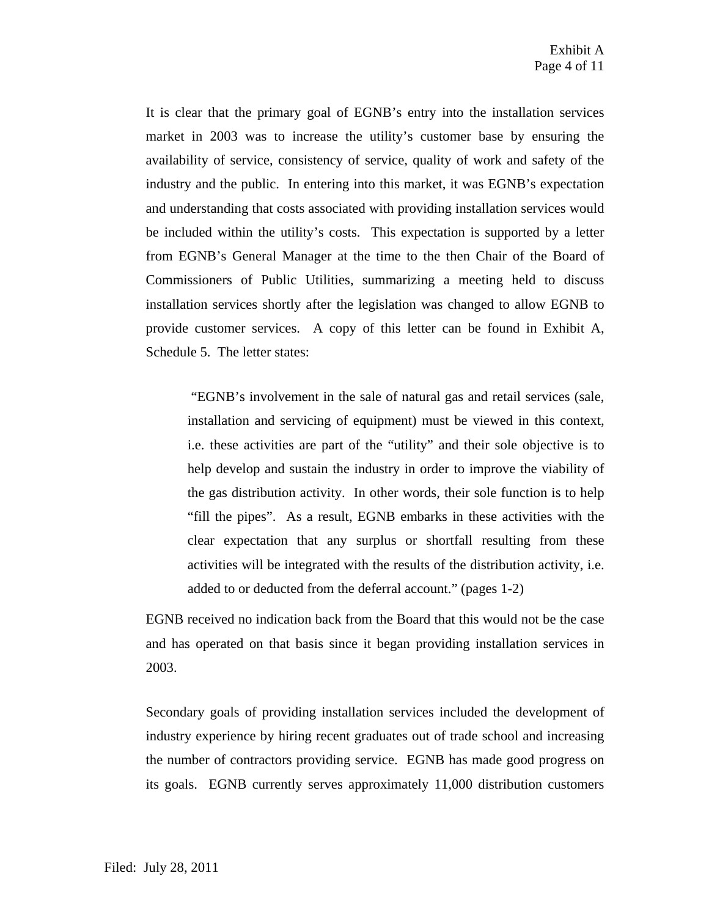It is clear that the primary goal of EGNB's entry into the installation services market in 2003 was to increase the utility's customer base by ensuring the availability of service, consistency of service, quality of work and safety of the industry and the public. In entering into this market, it was EGNB's expectation and understanding that costs associated with providing installation services would be included within the utility's costs. This expectation is supported by a letter from EGNB's General Manager at the time to the then Chair of the Board of Commissioners of Public Utilities, summarizing a meeting held to discuss installation services shortly after the legislation was changed to allow EGNB to provide customer services. A copy of this letter can be found in Exhibit A, Schedule 5. The letter states:

 "EGNB's involvement in the sale of natural gas and retail services (sale, installation and servicing of equipment) must be viewed in this context, i.e. these activities are part of the "utility" and their sole objective is to help develop and sustain the industry in order to improve the viability of the gas distribution activity. In other words, their sole function is to help "fill the pipes". As a result, EGNB embarks in these activities with the clear expectation that any surplus or shortfall resulting from these activities will be integrated with the results of the distribution activity, i.e. added to or deducted from the deferral account." (pages 1-2)

EGNB received no indication back from the Board that this would not be the case and has operated on that basis since it began providing installation services in 2003.

Secondary goals of providing installation services included the development of industry experience by hiring recent graduates out of trade school and increasing the number of contractors providing service. EGNB has made good progress on its goals. EGNB currently serves approximately 11,000 distribution customers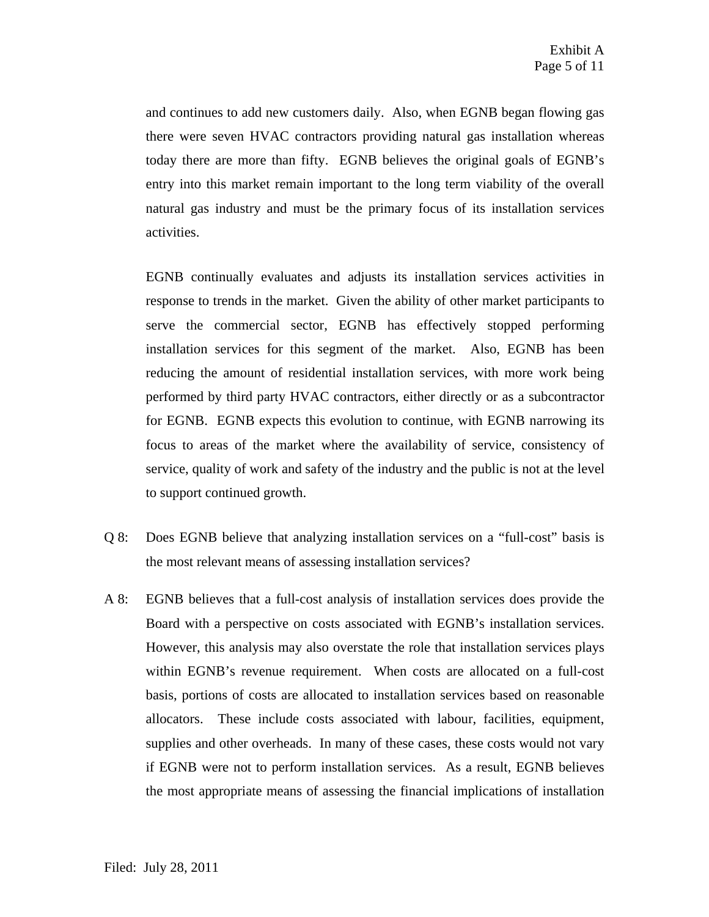and continues to add new customers daily. Also, when EGNB began flowing gas there were seven HVAC contractors providing natural gas installation whereas today there are more than fifty. EGNB believes the original goals of EGNB's entry into this market remain important to the long term viability of the overall natural gas industry and must be the primary focus of its installation services activities.

EGNB continually evaluates and adjusts its installation services activities in response to trends in the market. Given the ability of other market participants to serve the commercial sector, EGNB has effectively stopped performing installation services for this segment of the market. Also, EGNB has been reducing the amount of residential installation services, with more work being performed by third party HVAC contractors, either directly or as a subcontractor for EGNB. EGNB expects this evolution to continue, with EGNB narrowing its focus to areas of the market where the availability of service, consistency of service, quality of work and safety of the industry and the public is not at the level to support continued growth.

- Q 8: Does EGNB believe that analyzing installation services on a "full-cost" basis is the most relevant means of assessing installation services?
- A 8: EGNB believes that a full-cost analysis of installation services does provide the Board with a perspective on costs associated with EGNB's installation services. However, this analysis may also overstate the role that installation services plays within EGNB's revenue requirement. When costs are allocated on a full-cost basis, portions of costs are allocated to installation services based on reasonable allocators. These include costs associated with labour, facilities, equipment, supplies and other overheads. In many of these cases, these costs would not vary if EGNB were not to perform installation services. As a result, EGNB believes the most appropriate means of assessing the financial implications of installation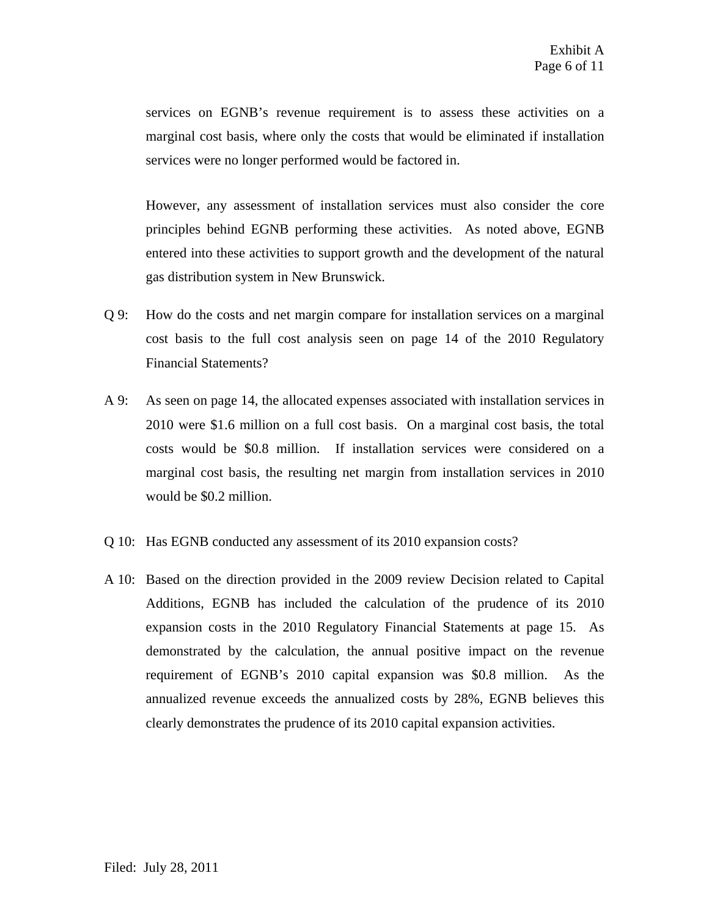services on EGNB's revenue requirement is to assess these activities on a marginal cost basis, where only the costs that would be eliminated if installation services were no longer performed would be factored in.

However, any assessment of installation services must also consider the core principles behind EGNB performing these activities. As noted above, EGNB entered into these activities to support growth and the development of the natural gas distribution system in New Brunswick.

- Q 9: How do the costs and net margin compare for installation services on a marginal cost basis to the full cost analysis seen on page 14 of the 2010 Regulatory Financial Statements?
- A 9: As seen on page 14, the allocated expenses associated with installation services in 2010 were \$1.6 million on a full cost basis. On a marginal cost basis, the total costs would be \$0.8 million. If installation services were considered on a marginal cost basis, the resulting net margin from installation services in 2010 would be \$0.2 million.
- Q 10: Has EGNB conducted any assessment of its 2010 expansion costs?
- A 10: Based on the direction provided in the 2009 review Decision related to Capital Additions, EGNB has included the calculation of the prudence of its 2010 expansion costs in the 2010 Regulatory Financial Statements at page 15. As demonstrated by the calculation, the annual positive impact on the revenue requirement of EGNB's 2010 capital expansion was \$0.8 million. As the annualized revenue exceeds the annualized costs by 28%, EGNB believes this clearly demonstrates the prudence of its 2010 capital expansion activities.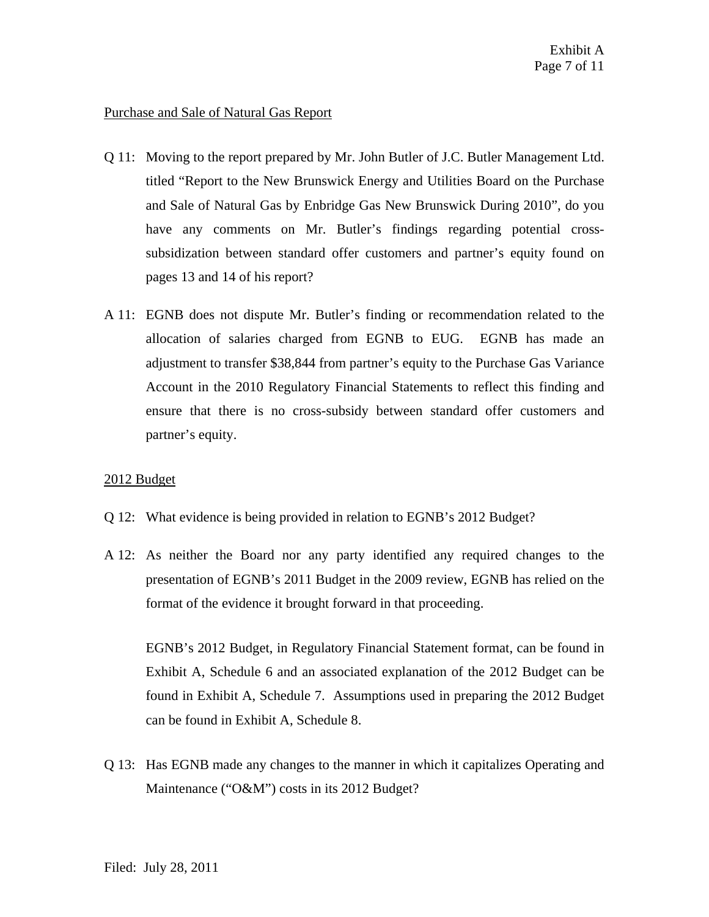## Purchase and Sale of Natural Gas Report

- Q 11: Moving to the report prepared by Mr. John Butler of J.C. Butler Management Ltd. titled "Report to the New Brunswick Energy and Utilities Board on the Purchase and Sale of Natural Gas by Enbridge Gas New Brunswick During 2010", do you have any comments on Mr. Butler's findings regarding potential crosssubsidization between standard offer customers and partner's equity found on pages 13 and 14 of his report?
- A 11: EGNB does not dispute Mr. Butler's finding or recommendation related to the allocation of salaries charged from EGNB to EUG. EGNB has made an adjustment to transfer \$38,844 from partner's equity to the Purchase Gas Variance Account in the 2010 Regulatory Financial Statements to reflect this finding and ensure that there is no cross-subsidy between standard offer customers and partner's equity.

## 2012 Budget

- Q 12: What evidence is being provided in relation to EGNB's 2012 Budget?
- A 12: As neither the Board nor any party identified any required changes to the presentation of EGNB's 2011 Budget in the 2009 review, EGNB has relied on the format of the evidence it brought forward in that proceeding.

EGNB's 2012 Budget, in Regulatory Financial Statement format, can be found in Exhibit A, Schedule 6 and an associated explanation of the 2012 Budget can be found in Exhibit A, Schedule 7. Assumptions used in preparing the 2012 Budget can be found in Exhibit A, Schedule 8.

Q 13: Has EGNB made any changes to the manner in which it capitalizes Operating and Maintenance ("O&M") costs in its 2012 Budget?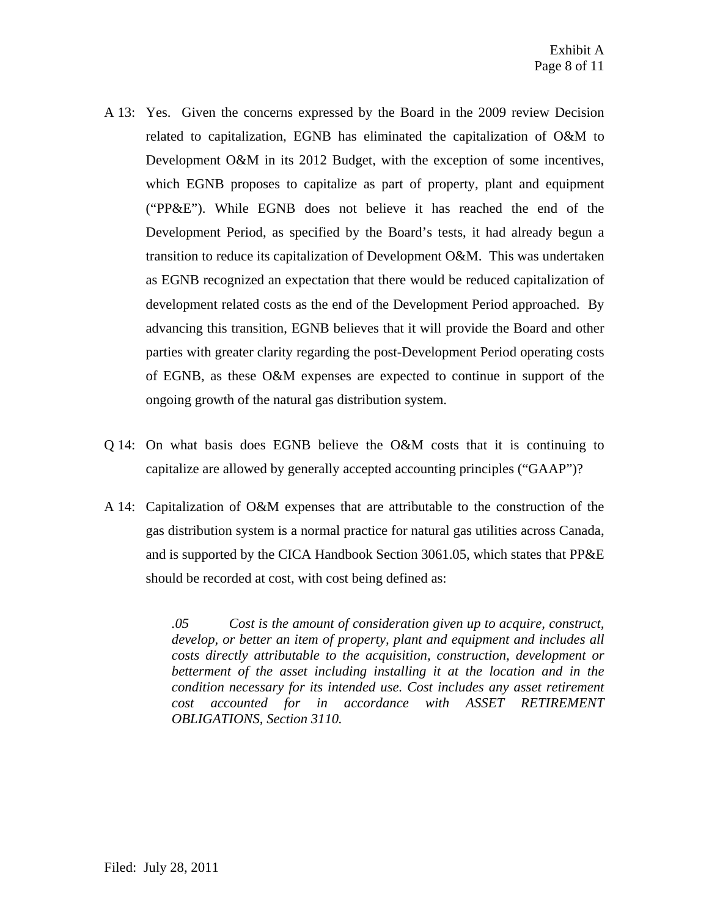- A 13: Yes. Given the concerns expressed by the Board in the 2009 review Decision related to capitalization, EGNB has eliminated the capitalization of O&M to Development O&M in its 2012 Budget, with the exception of some incentives, which EGNB proposes to capitalize as part of property, plant and equipment ("PP&E"). While EGNB does not believe it has reached the end of the Development Period, as specified by the Board's tests, it had already begun a transition to reduce its capitalization of Development O&M. This was undertaken as EGNB recognized an expectation that there would be reduced capitalization of development related costs as the end of the Development Period approached. By advancing this transition, EGNB believes that it will provide the Board and other parties with greater clarity regarding the post-Development Period operating costs of EGNB, as these O&M expenses are expected to continue in support of the ongoing growth of the natural gas distribution system.
- Q 14: On what basis does EGNB believe the O&M costs that it is continuing to capitalize are allowed by generally accepted accounting principles ("GAAP")?
- A 14: Capitalization of O&M expenses that are attributable to the construction of the gas distribution system is a normal practice for natural gas utilities across Canada, and is supported by the CICA Handbook Section 3061.05, which states that PP&E should be recorded at cost, with cost being defined as:

*.05 Cost is the amount of consideration given up to acquire, construct, develop, or better an item of property, plant and equipment and includes all costs directly attributable to the acquisition, construction, development or betterment of the asset including installing it at the location and in the condition necessary for its intended use. Cost includes any asset retirement cost accounted for in accordance with ASSET RETIREMENT OBLIGATIONS, Section 3110.*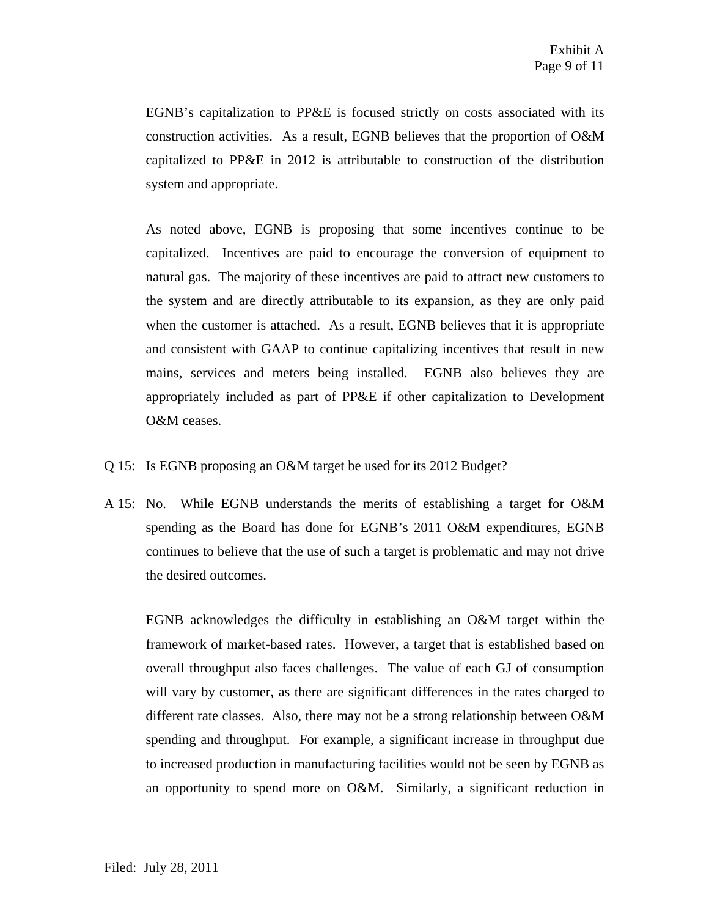EGNB's capitalization to PP&E is focused strictly on costs associated with its construction activities. As a result, EGNB believes that the proportion of O&M capitalized to PP&E in 2012 is attributable to construction of the distribution system and appropriate.

As noted above, EGNB is proposing that some incentives continue to be capitalized. Incentives are paid to encourage the conversion of equipment to natural gas. The majority of these incentives are paid to attract new customers to the system and are directly attributable to its expansion, as they are only paid when the customer is attached. As a result, EGNB believes that it is appropriate and consistent with GAAP to continue capitalizing incentives that result in new mains, services and meters being installed. EGNB also believes they are appropriately included as part of PP&E if other capitalization to Development O&M ceases.

- Q 15: Is EGNB proposing an O&M target be used for its 2012 Budget?
- A 15: No. While EGNB understands the merits of establishing a target for O&M spending as the Board has done for EGNB's 2011 O&M expenditures, EGNB continues to believe that the use of such a target is problematic and may not drive the desired outcomes.

EGNB acknowledges the difficulty in establishing an O&M target within the framework of market-based rates. However, a target that is established based on overall throughput also faces challenges. The value of each GJ of consumption will vary by customer, as there are significant differences in the rates charged to different rate classes. Also, there may not be a strong relationship between O&M spending and throughput. For example, a significant increase in throughput due to increased production in manufacturing facilities would not be seen by EGNB as an opportunity to spend more on O&M. Similarly, a significant reduction in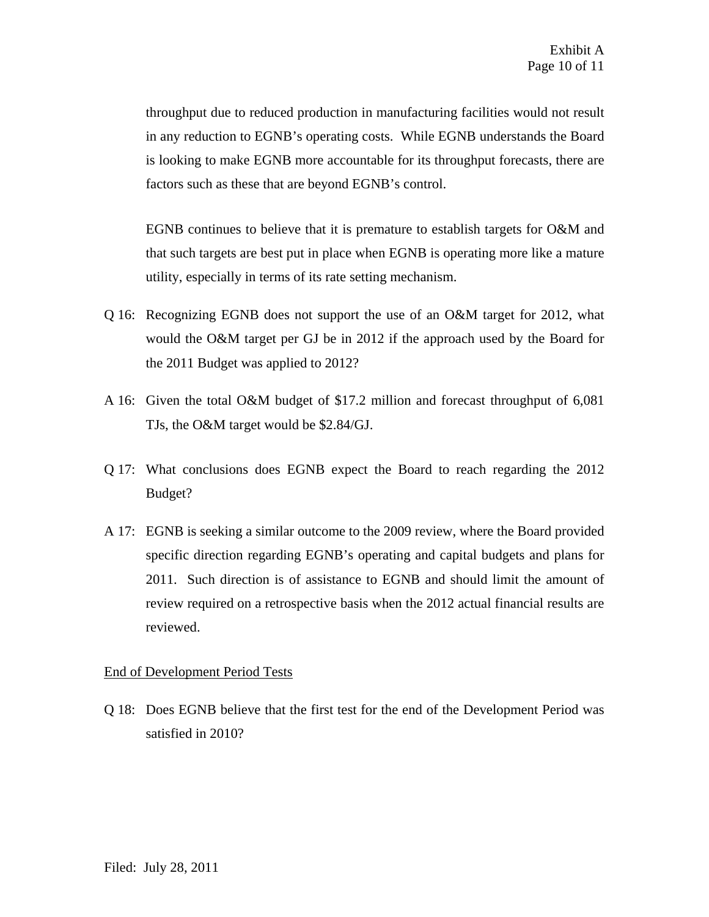throughput due to reduced production in manufacturing facilities would not result in any reduction to EGNB's operating costs. While EGNB understands the Board is looking to make EGNB more accountable for its throughput forecasts, there are factors such as these that are beyond EGNB's control.

EGNB continues to believe that it is premature to establish targets for O&M and that such targets are best put in place when EGNB is operating more like a mature utility, especially in terms of its rate setting mechanism.

- Q 16: Recognizing EGNB does not support the use of an O&M target for 2012, what would the O&M target per GJ be in 2012 if the approach used by the Board for the 2011 Budget was applied to 2012?
- A 16: Given the total O&M budget of \$17.2 million and forecast throughput of 6,081 TJs, the O&M target would be \$2.84/GJ.
- Q 17: What conclusions does EGNB expect the Board to reach regarding the 2012 Budget?
- A 17: EGNB is seeking a similar outcome to the 2009 review, where the Board provided specific direction regarding EGNB's operating and capital budgets and plans for 2011. Such direction is of assistance to EGNB and should limit the amount of review required on a retrospective basis when the 2012 actual financial results are reviewed.

## End of Development Period Tests

Q 18: Does EGNB believe that the first test for the end of the Development Period was satisfied in 2010?